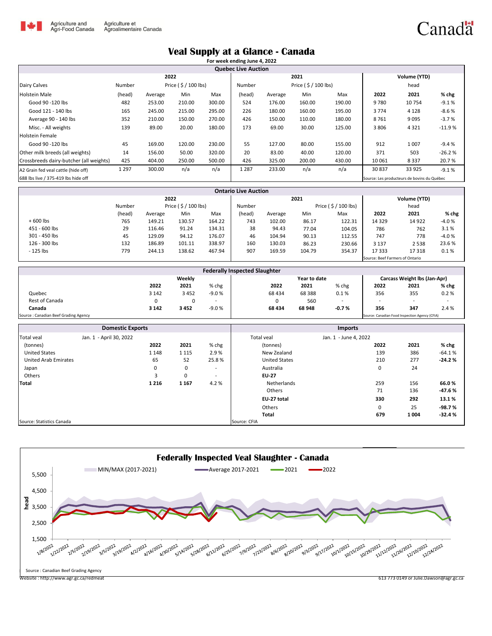

## Canadä

## **Veal Supply at a Glance - Canada**

|                                         |                                             |         |        |        | For week ending June 4, 2022 |         |        |        |        |              |          |  |
|-----------------------------------------|---------------------------------------------|---------|--------|--------|------------------------------|---------|--------|--------|--------|--------------|----------|--|
|                                         |                                             |         |        |        | <b>Quebec Live Auction</b>   |         |        |        |        |              |          |  |
|                                         | 2022                                        |         |        |        |                              | 2021    |        |        |        | Volume (YTD) |          |  |
| Dairy Calves                            | Price (\$/100 lbs)<br>Number                |         |        | Number | Price $($ \$ $/$ 100 lbs)    |         |        |        | head   |              |          |  |
| <b>Holstein Male</b>                    | (head)                                      | Average | Min    | Max    | (head)                       | Average | Min    | Max    | 2022   | 2021         | % chg    |  |
| Good 90 -120 lbs                        | 482                                         | 253.00  | 210.00 | 300.00 | 524                          | 176.00  | 160.00 | 190.00 | 9780   | 10 754       | $-9.1%$  |  |
| Good 121 - 140 lbs                      | 165                                         | 245.00  | 215.00 | 295.00 | 226                          | 180.00  | 160.00 | 195.00 | 3774   | 4 1 2 8      | $-8.6%$  |  |
| Average 90 - 140 lbs                    | 352                                         | 210.00  | 150.00 | 270.00 | 426                          | 150.00  | 110.00 | 180.00 | 8761   | 9 0 9 5      | $-3.7%$  |  |
| Misc. - All weights                     | 139                                         | 89.00   | 20.00  | 180.00 | 173                          | 69.00   | 30.00  | 125.00 | 3806   | 4 3 2 1      | $-11.9%$ |  |
| <b>Holstein Female</b>                  |                                             |         |        |        |                              |         |        |        |        |              |          |  |
| Good 90 -120 lbs                        | 45                                          | 169.00  | 120.00 | 230.00 | 55                           | 127.00  | 80.00  | 155.00 | 912    | 1 0 0 7      | $-9.4%$  |  |
| Other milk breeds (all weights)         | 14                                          | 156.00  | 50.00  | 320.00 | 20                           | 83.00   | 40.00  | 120.00 | 371    | 503          | $-26.2%$ |  |
| Crossbreeds dairy-butcher (all weights) | 425                                         | 404.00  | 250.00 | 500.00 | 426                          | 325.00  | 200.00 | 430.00 | 10 061 | 8 3 3 7      | 20.7%    |  |
| A2 Grain fed veal cattle (hide off)     | 1 2 9 7                                     | 300.00  | n/a    | n/a    | 1 2 8 7                      | 233.00  | n/a    | n/a    | 30837  | 33 9 25      | $-9.1%$  |  |
| 688 lbs live / 375-419 lbs hide off     | Source: Les producteurs de bovins du Québec |         |        |        |                              |         |        |        |        |              |          |  |

| <b>Ontario Live Auction</b> |        |                           |        |        |                                 |                                     |        |        |         |         |                     |  |  |
|-----------------------------|--------|---------------------------|--------|--------|---------------------------------|-------------------------------------|--------|--------|---------|---------|---------------------|--|--|
|                             |        | 2022                      |        |        |                                 |                                     | 2021   |        |         |         | <b>Volume (YTD)</b> |  |  |
|                             | Number | Price $($ \$ $/$ 100 lbs) |        |        |                                 | Price $($ \$ $/$ 100 lbs)<br>Number |        |        | head    |         |                     |  |  |
|                             | (head) | Average                   | Min    | Max    | (head)                          | Average                             | Min    | Max    | 2022    | 2021    | % chg               |  |  |
| $+600$ lbs                  | 765    | 149.21                    | 130.57 | 164.22 | 743                             | 102.00                              | 86.17  | 122.31 | 14 3 29 | 14 9 22 | $-4.0%$             |  |  |
| 451 - 600 lbs               | 29     | 116.46                    | 91.24  | 134.31 | 38                              | 94.43                               | 77.04  | 104.05 | 786     | 762     | 3.1%                |  |  |
| 301 - 450 lbs               | 45     | 129.09                    | 94.12  | 176.07 | 46                              | 104.94                              | 90.13  | 112.55 | 747     | 778     | $-4.0%$             |  |  |
| 126 - 300 lbs               | 132    | 186.89                    | 101.11 | 338.97 | 160                             | 130.03                              | 86.23  | 230.66 | 3 1 3 7 | 2538    | 23.6%               |  |  |
| - 125 lbs                   | 779    | 244.13                    | 138.62 | 467.94 | 907                             | 169.59                              | 104.79 | 354.37 | 17 333  | 17318   | 0.1%                |  |  |
|                             |        |                           |        |        | Source: Beef Farmers of Ontario |                                     |        |        |         |         |                     |  |  |

| <b>Federally Inspected Slaughter</b> |         |        |         |                                                |                                     |                          |      |                          |       |  |
|--------------------------------------|---------|--------|---------|------------------------------------------------|-------------------------------------|--------------------------|------|--------------------------|-------|--|
|                                      |         | Weekly |         |                                                | <b>Carcass Weight lbs (Jan-Apr)</b> |                          |      |                          |       |  |
|                                      | 2022    | 2021   | % chg   | 2022                                           | 2021                                | $%$ chg                  | 2022 | 2021                     | % chg |  |
| Quebec                               | 3 1 4 2 | 3452   | -9.0 %  | 68 434                                         | 68 3 88                             | 0.1%                     | 356  | 355                      | 0.2%  |  |
| Rest of Canada                       | 0       |        | -       | 0                                              | 560                                 | $\overline{\phantom{a}}$ | . .  | $\overline{\phantom{a}}$ | ۰     |  |
| Canada                               | 3 1 4 2 | 3452   | $-9.0%$ | 68 434                                         | 68 948                              | $-0.7%$                  | 356  | 347                      | 2.4 % |  |
| Source: Canadian Beef Grading Agency |         |        |         | Source: Canadian Food Inspection Agency (CFIA) |                                     |                          |      |                          |       |  |

|                             | <b>Domestic Exports</b> |         |         | <b>Imports</b>           |                      |                       |      |         |          |  |
|-----------------------------|-------------------------|---------|---------|--------------------------|----------------------|-----------------------|------|---------|----------|--|
| Total veal                  | Jan. 1 - April 30, 2022 |         |         |                          | Total veal           | Jan. 1 - June 4, 2022 |      |         |          |  |
| (tonnes)                    |                         | 2022    | 2021    | % chg                    | (tonnes)             |                       | 2022 | 2021    | % chg    |  |
| <b>United States</b>        |                         | 1 1 4 8 | 1 1 1 5 | 2.9%                     | New Zealand          |                       | 139  | 386     | $-64.1%$ |  |
| <b>United Arab Emirates</b> |                         | 65      | 52      | 25.8%                    | <b>United States</b> |                       | 210  | 277     | $-24.2%$ |  |
| Japan                       |                         | 0       | 0       | $\overline{\phantom{a}}$ | Australia            |                       | 0    | 24      |          |  |
| Others                      |                         | 3       | 0       | $\overline{\phantom{a}}$ | <b>EU-27</b>         |                       |      |         |          |  |
| Total                       |                         | 1 2 1 6 | 1 1 6 7 | 4.2%                     | Netherlands          |                       | 259  | 156     | 66.0%    |  |
|                             |                         |         |         |                          | Others               |                       | 71   | 136     | $-47.6%$ |  |
|                             |                         |         |         |                          | EU-27 total          |                       | 330  | 292     | 13.1%    |  |
|                             |                         |         |         |                          | Others               |                       | 0    | 25      | $-98.7%$ |  |
|                             |                         |         |         |                          | <b>Total</b>         |                       | 679  | 1 0 0 4 | $-32.4%$ |  |
| Source: Statistics Canada   |                         |         |         |                          | Source: CFIA         |                       |      |         |          |  |